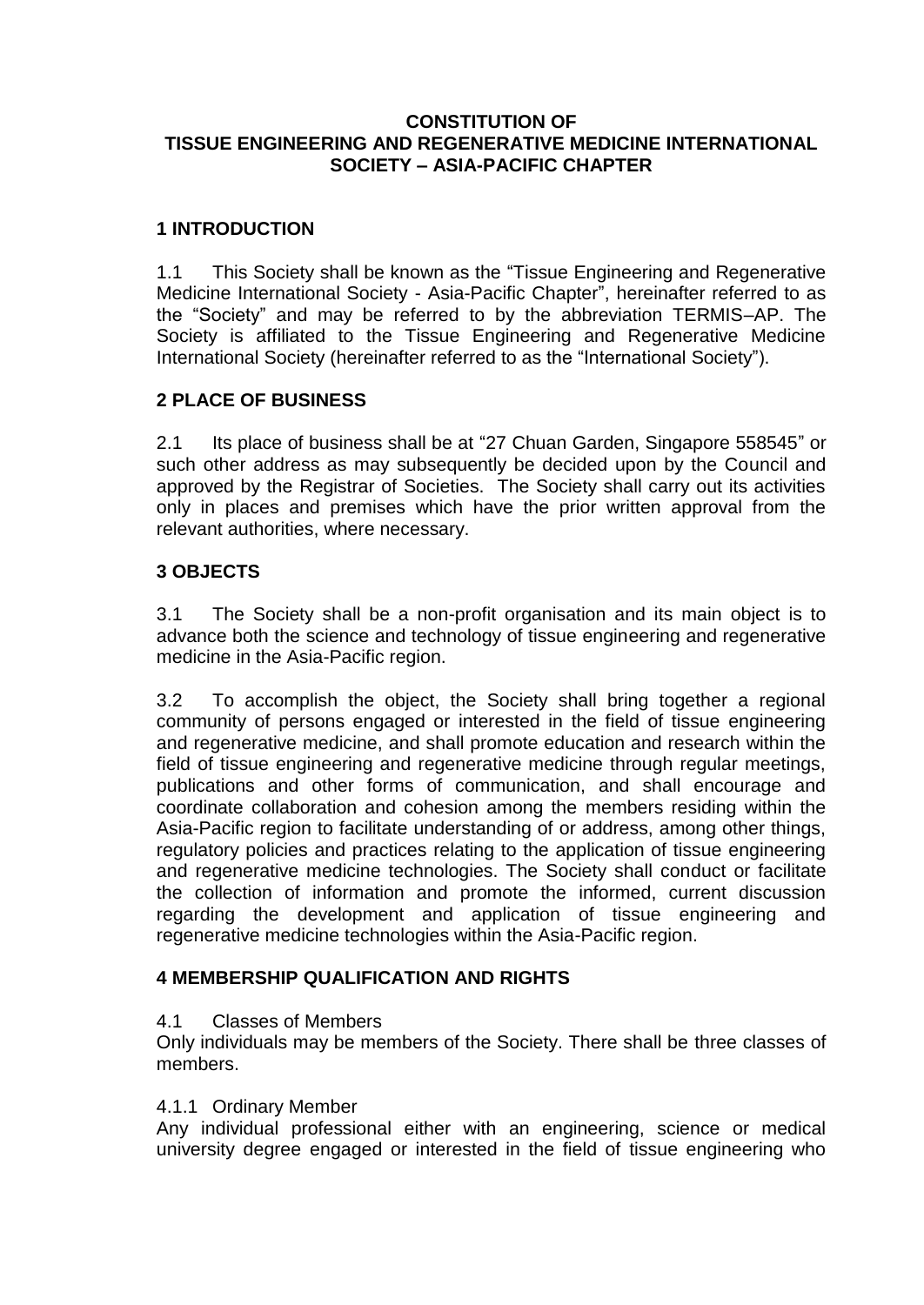### **CONSTITUTION OF TISSUE ENGINEERING AND REGENERATIVE MEDICINE INTERNATIONAL SOCIETY – ASIA-PACIFIC CHAPTER**

# **1 INTRODUCTION**

1.1 This Society shall be known as the "Tissue Engineering and Regenerative Medicine International Society - Asia-Pacific Chapter", hereinafter referred to as the "Society" and may be referred to by the abbreviation TERMIS–AP. The Society is affiliated to the Tissue Engineering and Regenerative Medicine International Society (hereinafter referred to as the "International Society").

# **2 PLACE OF BUSINESS**

2.1 Its place of business shall be at "27 Chuan Garden, Singapore 558545" or such other address as may subsequently be decided upon by the Council and approved by the Registrar of Societies. The Society shall carry out its activities only in places and premises which have the prior written approval from the relevant authorities, where necessary.

# **3 OBJECTS**

3.1 The Society shall be a non-profit organisation and its main object is to advance both the science and technology of tissue engineering and regenerative medicine in the Asia-Pacific region.

3.2 To accomplish the object, the Society shall bring together a regional community of persons engaged or interested in the field of tissue engineering and regenerative medicine, and shall promote education and research within the field of tissue engineering and regenerative medicine through regular meetings, publications and other forms of communication, and shall encourage and coordinate collaboration and cohesion among the members residing within the Asia-Pacific region to facilitate understanding of or address, among other things, regulatory policies and practices relating to the application of tissue engineering and regenerative medicine technologies. The Society shall conduct or facilitate the collection of information and promote the informed, current discussion regarding the development and application of tissue engineering and regenerative medicine technologies within the Asia-Pacific region.

### **4 MEMBERSHIP QUALIFICATION AND RIGHTS**

### 4.1 Classes of Members

Only individuals may be members of the Society. There shall be three classes of members.

#### 4.1.1 Ordinary Member

Any individual professional either with an engineering, science or medical university degree engaged or interested in the field of tissue engineering who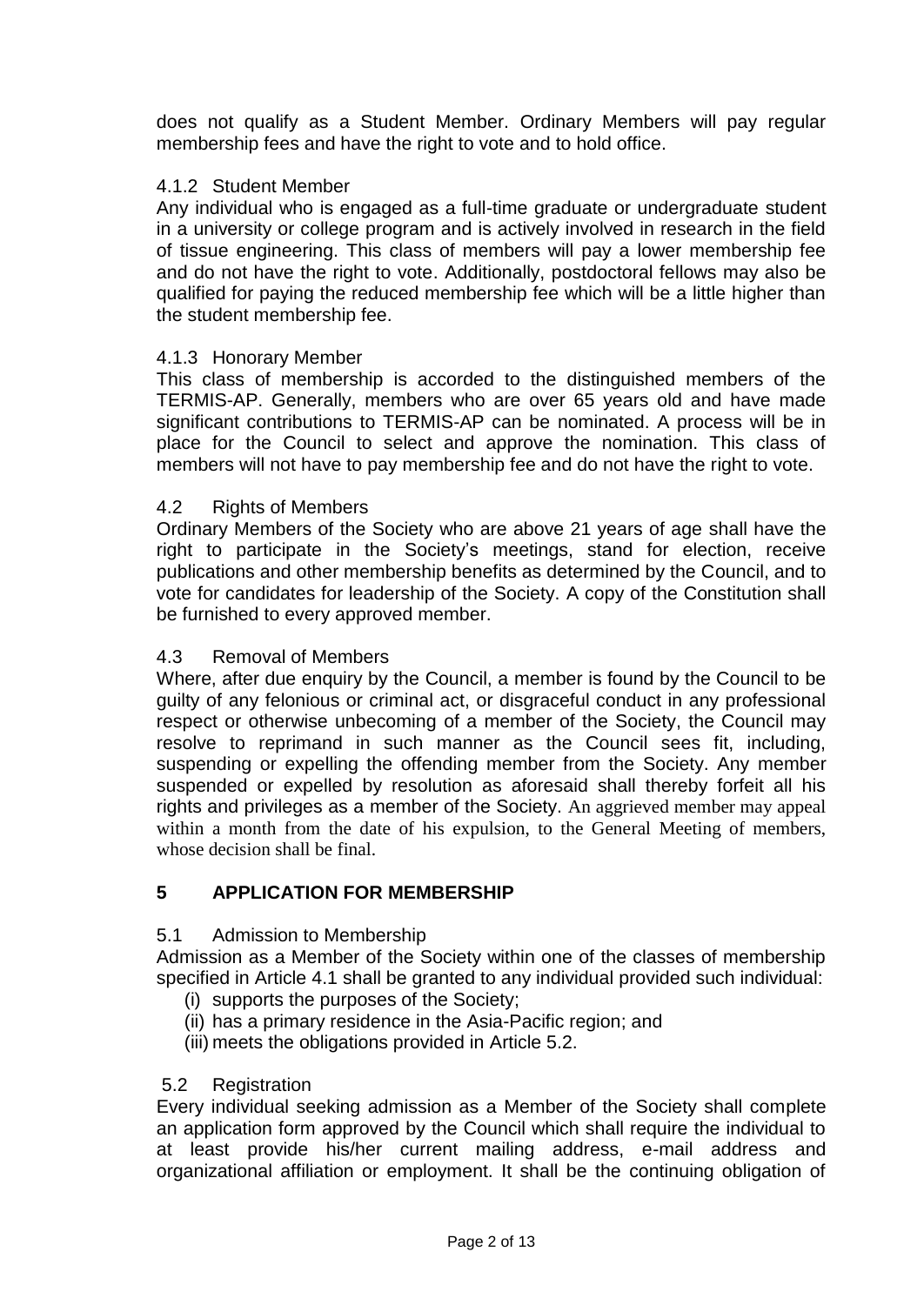does not qualify as a Student Member. Ordinary Members will pay regular membership fees and have the right to vote and to hold office.

### 4.1.2 Student Member

Any individual who is engaged as a full-time graduate or undergraduate student in a university or college program and is actively involved in research in the field of tissue engineering. This class of members will pay a lower membership fee and do not have the right to vote. Additionally, postdoctoral fellows may also be qualified for paying the reduced membership fee which will be a little higher than the student membership fee.

#### 4.1.3 Honorary Member

This class of membership is accorded to the distinguished members of the TERMIS-AP. Generally, members who are over 65 years old and have made significant contributions to TERMIS-AP can be nominated. A process will be in place for the Council to select and approve the nomination. This class of members will not have to pay membership fee and do not have the right to vote.

#### 4.2 Rights of Members

Ordinary Members of the Society who are above 21 years of age shall have the right to participate in the Society's meetings, stand for election, receive publications and other membership benefits as determined by the Council, and to vote for candidates for leadership of the Society. A copy of the Constitution shall be furnished to every approved member.

#### 4.3 Removal of Members

Where, after due enquiry by the Council, a member is found by the Council to be guilty of any felonious or criminal act, or disgraceful conduct in any professional respect or otherwise unbecoming of a member of the Society, the Council may resolve to reprimand in such manner as the Council sees fit, including, suspending or expelling the offending member from the Society. Any member suspended or expelled by resolution as aforesaid shall thereby forfeit all his rights and privileges as a member of the Society. An aggrieved member may appeal within a month from the date of his expulsion, to the General Meeting of members, whose decision shall be final.

### **5 APPLICATION FOR MEMBERSHIP**

#### 5.1 Admission to Membership

Admission as a Member of the Society within one of the classes of membership specified in Article 4.1 shall be granted to any individual provided such individual:

- (i) supports the purposes of the Society;
- (ii) has a primary residence in the Asia-Pacific region; and
- (iii) meets the obligations provided in Article 5.2.

#### 5.2 Registration

Every individual seeking admission as a Member of the Society shall complete an application form approved by the Council which shall require the individual to at least provide his/her current mailing address, e-mail address and organizational affiliation or employment. It shall be the continuing obligation of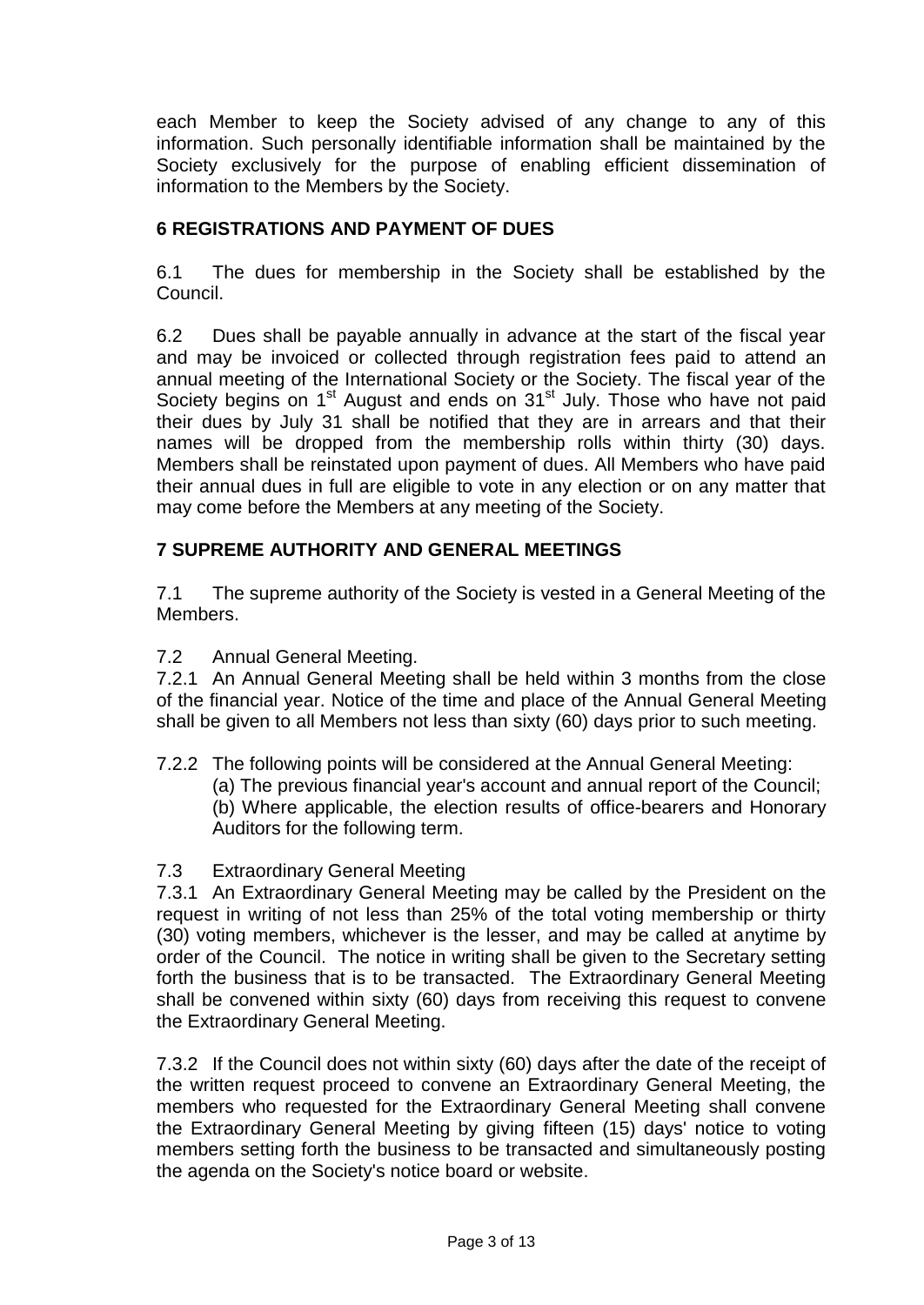each Member to keep the Society advised of any change to any of this information. Such personally identifiable information shall be maintained by the Society exclusively for the purpose of enabling efficient dissemination of information to the Members by the Society.

# **6 REGISTRATIONS AND PAYMENT OF DUES**

6.1 The dues for membership in the Society shall be established by the Council.

6.2 Dues shall be payable annually in advance at the start of the fiscal year and may be invoiced or collected through registration fees paid to attend an annual meeting of the International Society or the Society. The fiscal year of the Society begins on 1<sup>st</sup> August and ends on 31<sup>st</sup> July. Those who have not paid their dues by July 31 shall be notified that they are in arrears and that their names will be dropped from the membership rolls within thirty (30) days. Members shall be reinstated upon payment of dues. All Members who have paid their annual dues in full are eligible to vote in any election or on any matter that may come before the Members at any meeting of the Society.

# **7 SUPREME AUTHORITY AND GENERAL MEETINGS**

7.1 The supreme authority of the Society is vested in a General Meeting of the Members.

7.2 Annual General Meeting.

7.2.1 An Annual General Meeting shall be held within 3 months from the close of the financial year. Notice of the time and place of the Annual General Meeting shall be given to all Members not less than sixty (60) days prior to such meeting.

7.2.2 The following points will be considered at the Annual General Meeting: (a) The previous financial year's account and annual report of the Council; (b) Where applicable, the election results of office-bearers and Honorary Auditors for the following term.

### 7.3 Extraordinary General Meeting

7.3.1 An Extraordinary General Meeting may be called by the President on the request in writing of not less than 25% of the total voting membership or thirty (30) voting members, whichever is the lesser, and may be called at anytime by order of the Council. The notice in writing shall be given to the Secretary setting forth the business that is to be transacted. The Extraordinary General Meeting shall be convened within sixty (60) days from receiving this request to convene the Extraordinary General Meeting.

7.3.2 If the Council does not within sixty (60) days after the date of the receipt of the written request proceed to convene an Extraordinary General Meeting, the members who requested for the Extraordinary General Meeting shall convene the Extraordinary General Meeting by giving fifteen (15) days' notice to voting members setting forth the business to be transacted and simultaneously posting the agenda on the Society's notice board or website.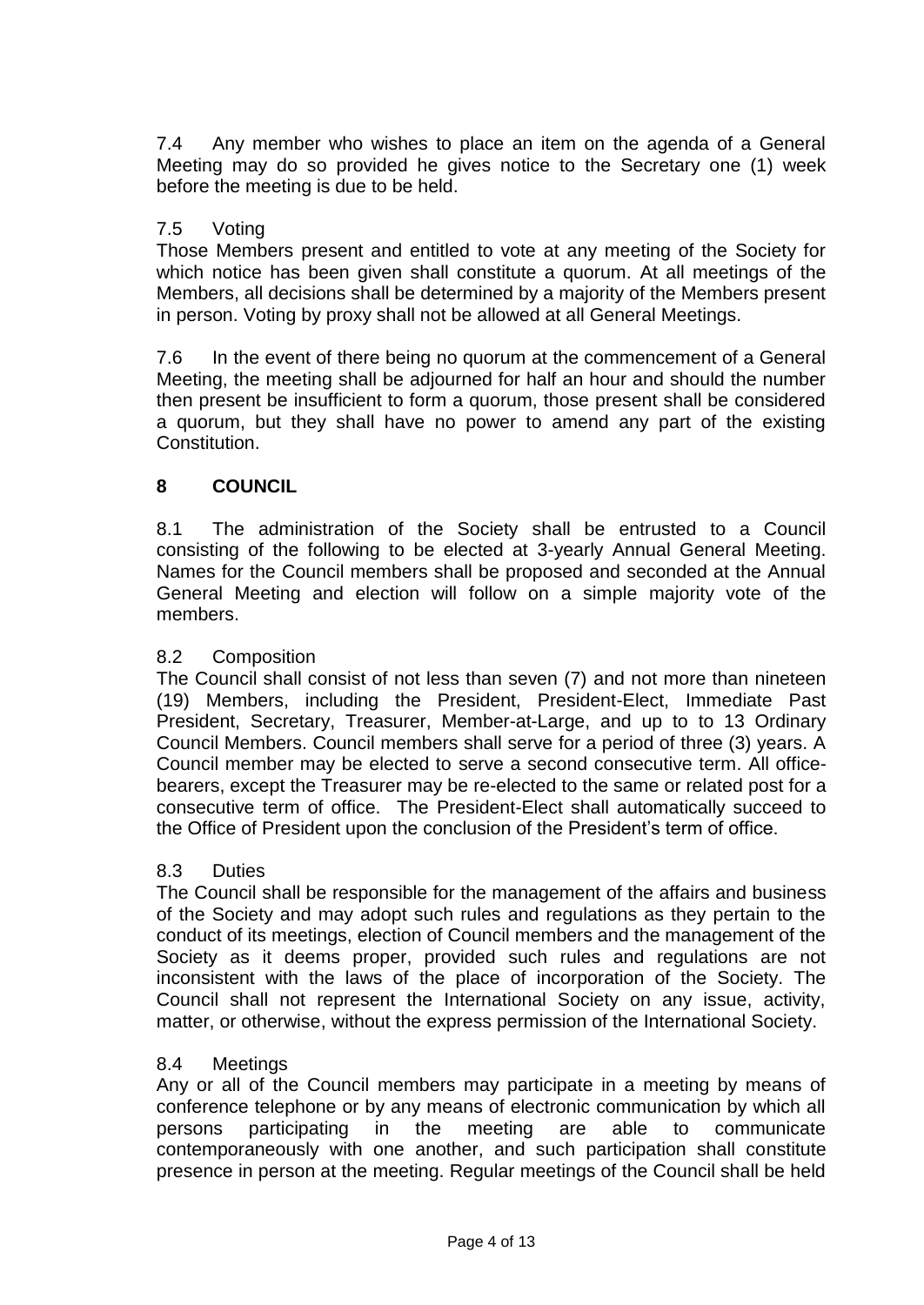7.4 Any member who wishes to place an item on the agenda of a General Meeting may do so provided he gives notice to the Secretary one (1) week before the meeting is due to be held.

### 7.5 Voting

Those Members present and entitled to vote at any meeting of the Society for which notice has been given shall constitute a quorum. At all meetings of the Members, all decisions shall be determined by a majority of the Members present in person. Voting by proxy shall not be allowed at all General Meetings.

7.6 In the event of there being no quorum at the commencement of a General Meeting, the meeting shall be adjourned for half an hour and should the number then present be insufficient to form a quorum, those present shall be considered a quorum, but they shall have no power to amend any part of the existing Constitution.

# **8 COUNCIL**

8.1 The administration of the Society shall be entrusted to a Council consisting of the following to be elected at 3-yearly Annual General Meeting. Names for the Council members shall be proposed and seconded at the Annual General Meeting and election will follow on a simple majority vote of the members.

### 8.2 Composition

The Council shall consist of not less than seven (7) and not more than nineteen (19) Members, including the President, President-Elect, Immediate Past President, Secretary, Treasurer, Member-at-Large, and up to to 13 Ordinary Council Members. Council members shall serve for a period of three (3) years. A Council member may be elected to serve a second consecutive term. All officebearers, except the Treasurer may be re-elected to the same or related post for a consecutive term of office. The President-Elect shall automatically succeed to the Office of President upon the conclusion of the President's term of office.

#### 8.3 Duties

The Council shall be responsible for the management of the affairs and business of the Society and may adopt such rules and regulations as they pertain to the conduct of its meetings, election of Council members and the management of the Society as it deems proper, provided such rules and regulations are not inconsistent with the laws of the place of incorporation of the Society. The Council shall not represent the International Society on any issue, activity, matter, or otherwise, without the express permission of the International Society.

#### 8.4 Meetings

Any or all of the Council members may participate in a meeting by means of conference telephone or by any means of electronic communication by which all persons participating in the meeting are able to communicate contemporaneously with one another, and such participation shall constitute presence in person at the meeting. Regular meetings of the Council shall be held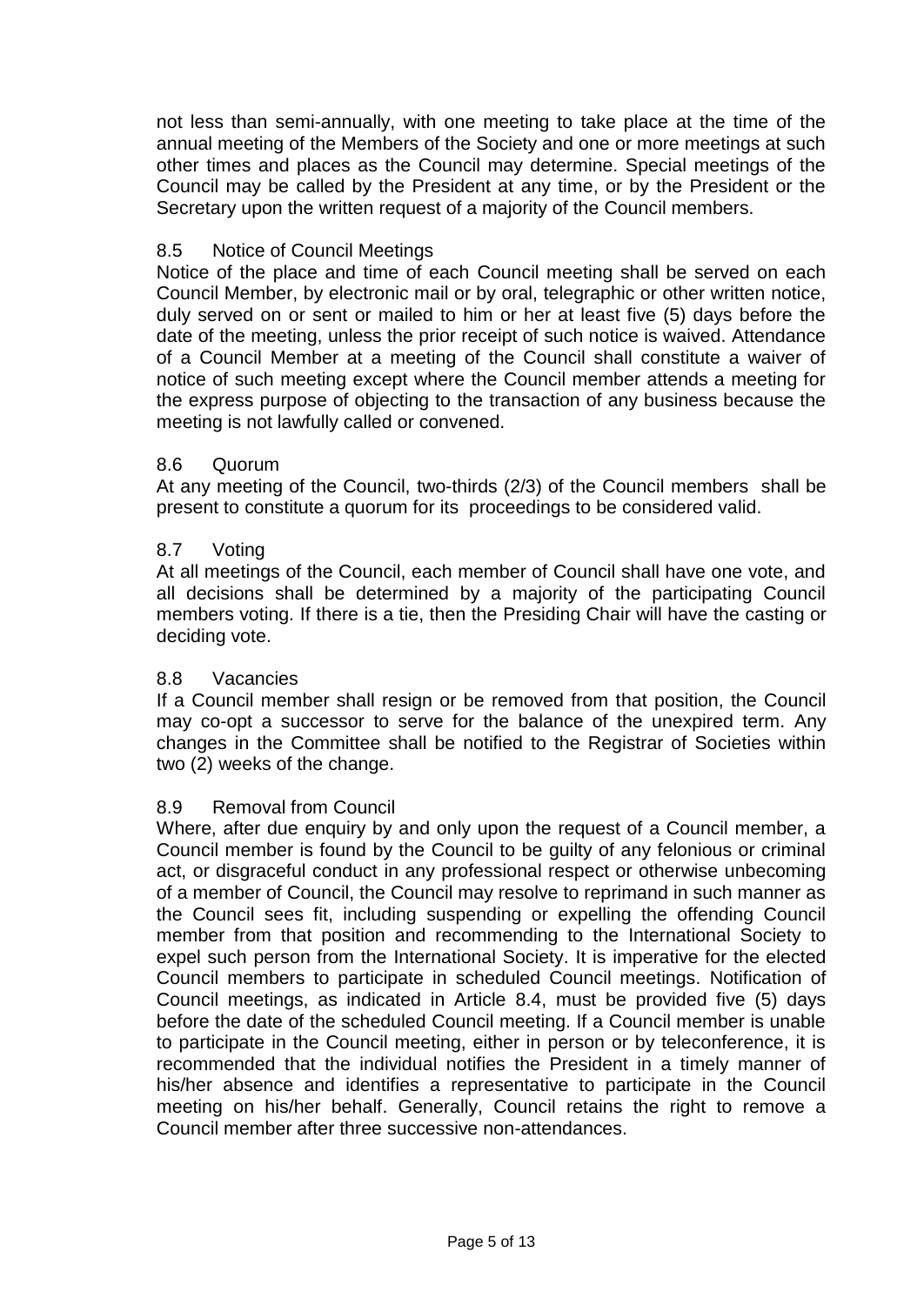not less than semi-annually, with one meeting to take place at the time of the annual meeting of the Members of the Society and one or more meetings at such other times and places as the Council may determine. Special meetings of the Council may be called by the President at any time, or by the President or the Secretary upon the written request of a majority of the Council members.

### 8.5 Notice of Council Meetings

Notice of the place and time of each Council meeting shall be served on each Council Member, by electronic mail or by oral, telegraphic or other written notice, duly served on or sent or mailed to him or her at least five (5) days before the date of the meeting, unless the prior receipt of such notice is waived. Attendance of a Council Member at a meeting of the Council shall constitute a waiver of notice of such meeting except where the Council member attends a meeting for the express purpose of objecting to the transaction of any business because the meeting is not lawfully called or convened.

### 8.6 Quorum

At any meeting of the Council, two-thirds (2/3) of the Council members shall be present to constitute a quorum for its proceedings to be considered valid.

#### 8.7 Voting

At all meetings of the Council, each member of Council shall have one vote, and all decisions shall be determined by a majority of the participating Council members voting. If there is a tie, then the Presiding Chair will have the casting or deciding vote.

#### 8.8 Vacancies

If a Council member shall resign or be removed from that position, the Council may co-opt a successor to serve for the balance of the unexpired term. Any changes in the Committee shall be notified to the Registrar of Societies within two (2) weeks of the change.

#### 8.9 Removal from Council

Where, after due enquiry by and only upon the request of a Council member, a Council member is found by the Council to be guilty of any felonious or criminal act, or disgraceful conduct in any professional respect or otherwise unbecoming of a member of Council, the Council may resolve to reprimand in such manner as the Council sees fit, including suspending or expelling the offending Council member from that position and recommending to the International Society to expel such person from the International Society. It is imperative for the elected Council members to participate in scheduled Council meetings. Notification of Council meetings, as indicated in Article 8.4, must be provided five (5) days before the date of the scheduled Council meeting. If a Council member is unable to participate in the Council meeting, either in person or by teleconference, it is recommended that the individual notifies the President in a timely manner of his/her absence and identifies a representative to participate in the Council meeting on his/her behalf. Generally, Council retains the right to remove a Council member after three successive non-attendances.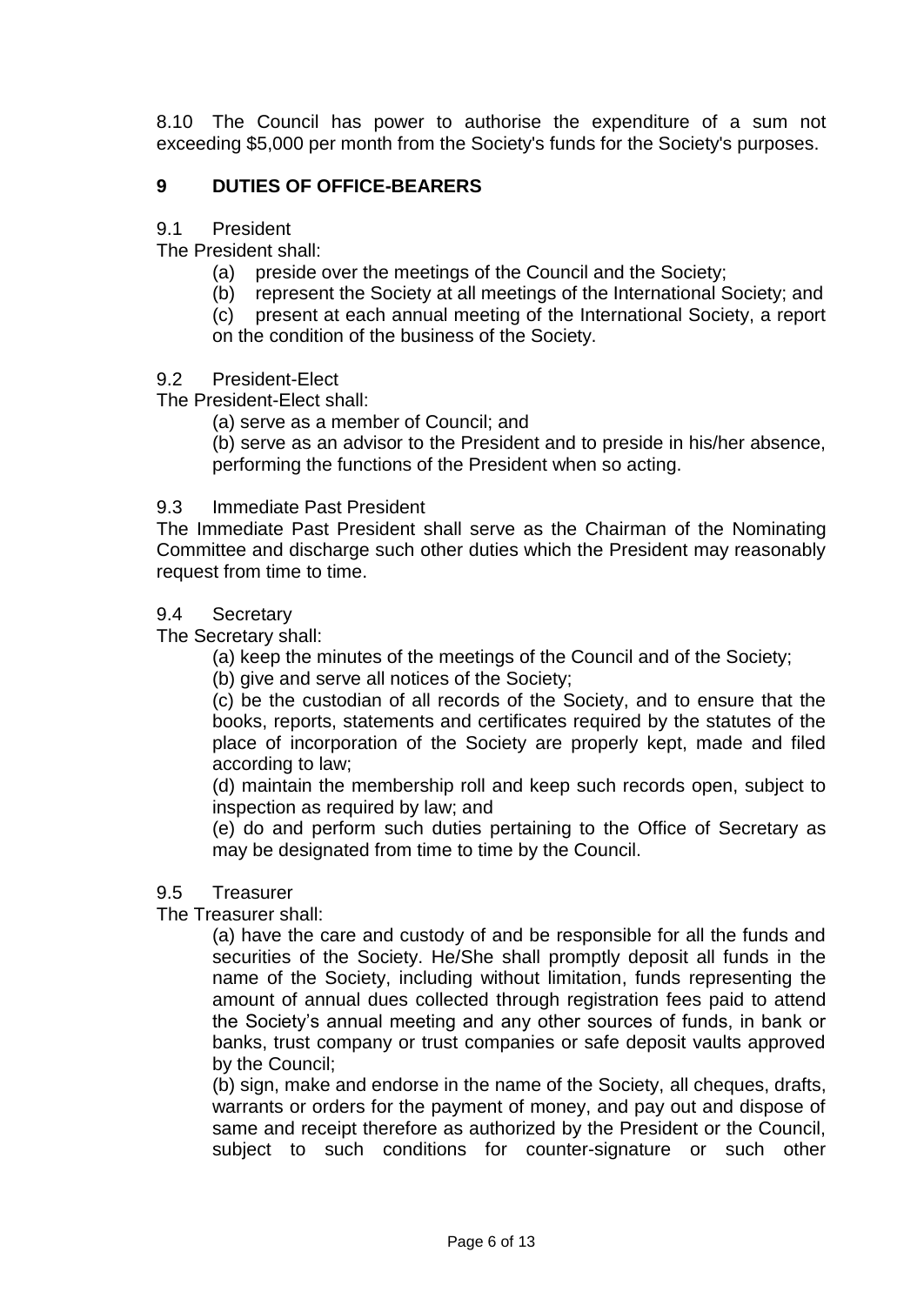8.10 The Council has power to authorise the expenditure of a sum not exceeding \$5,000 per month from the Society's funds for the Society's purposes.

# **9 DUTIES OF OFFICE-BEARERS**

9.1 President

The President shall:

- (a) preside over the meetings of the Council and the Society;
- (b) represent the Society at all meetings of the International Society; and

(c) present at each annual meeting of the International Society, a report on the condition of the business of the Society.

#### 9.2 President-Elect

The President-Elect shall:

(a) serve as a member of Council; and

(b) serve as an advisor to the President and to preside in his/her absence, performing the functions of the President when so acting.

#### 9.3 Immediate Past President

The Immediate Past President shall serve as the Chairman of the Nominating Committee and discharge such other duties which the President may reasonably request from time to time.

#### 9.4 Secretary

The Secretary shall:

(a) keep the minutes of the meetings of the Council and of the Society;

(b) give and serve all notices of the Society;

(c) be the custodian of all records of the Society, and to ensure that the books, reports, statements and certificates required by the statutes of the place of incorporation of the Society are properly kept, made and filed according to law;

(d) maintain the membership roll and keep such records open, subject to inspection as required by law; and

(e) do and perform such duties pertaining to the Office of Secretary as may be designated from time to time by the Council.

#### 9.5 Treasurer

The Treasurer shall:

(a) have the care and custody of and be responsible for all the funds and securities of the Society. He/She shall promptly deposit all funds in the name of the Society, including without limitation, funds representing the amount of annual dues collected through registration fees paid to attend the Society's annual meeting and any other sources of funds, in bank or banks, trust company or trust companies or safe deposit vaults approved by the Council;

(b) sign, make and endorse in the name of the Society, all cheques, drafts, warrants or orders for the payment of money, and pay out and dispose of same and receipt therefore as authorized by the President or the Council, subject to such conditions for counter-signature or such other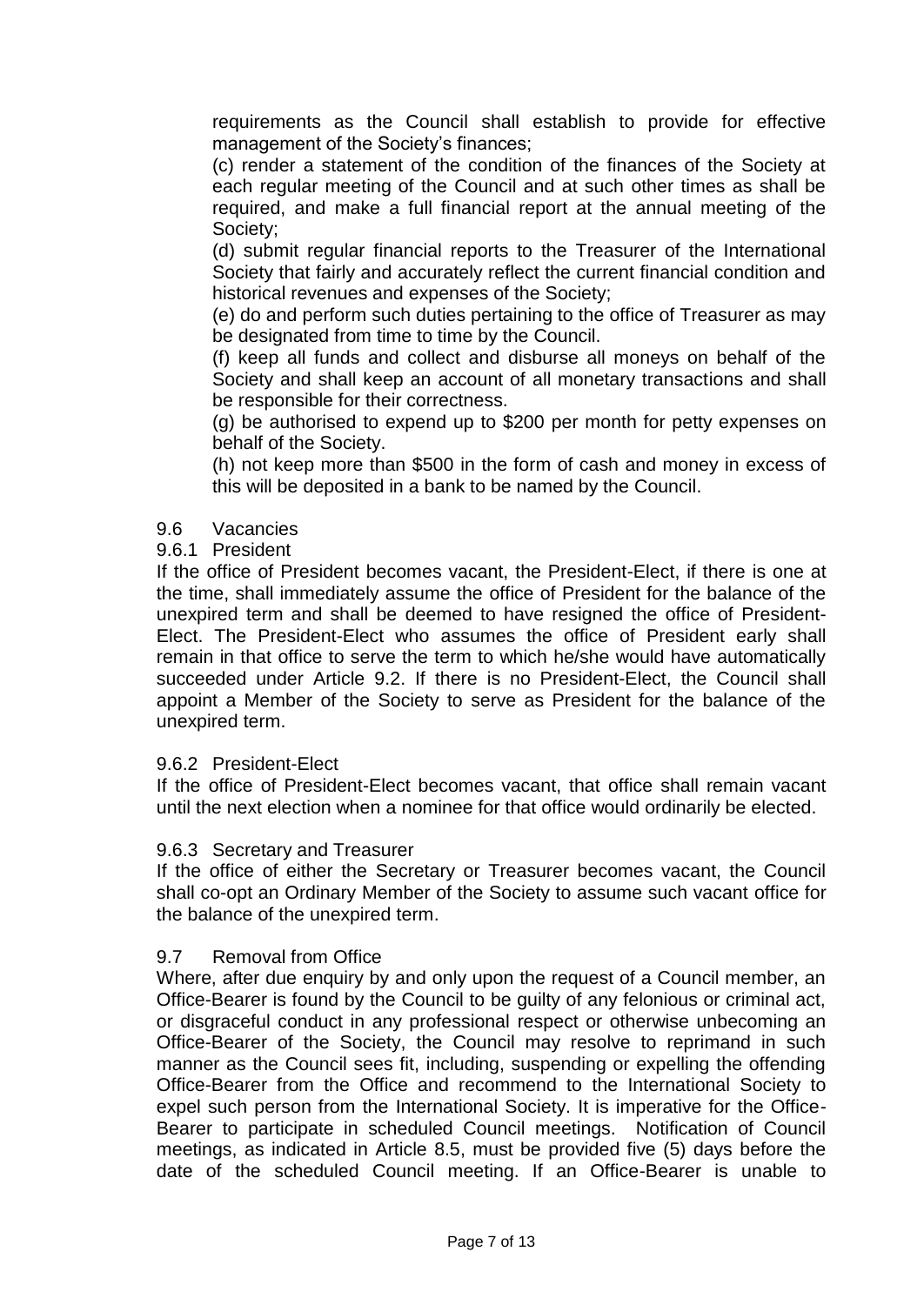requirements as the Council shall establish to provide for effective management of the Society's finances;

(c) render a statement of the condition of the finances of the Society at each regular meeting of the Council and at such other times as shall be required, and make a full financial report at the annual meeting of the Society;

(d) submit regular financial reports to the Treasurer of the International Society that fairly and accurately reflect the current financial condition and historical revenues and expenses of the Society;

(e) do and perform such duties pertaining to the office of Treasurer as may be designated from time to time by the Council.

(f) keep all funds and collect and disburse all moneys on behalf of the Society and shall keep an account of all monetary transactions and shall be responsible for their correctness.

(g) be authorised to expend up to \$200 per month for petty expenses on behalf of the Society.

(h) not keep more than \$500 in the form of cash and money in excess of this will be deposited in a bank to be named by the Council.

### 9.6 Vacancies

#### 9.6.1 President

If the office of President becomes vacant, the President-Elect, if there is one at the time, shall immediately assume the office of President for the balance of the unexpired term and shall be deemed to have resigned the office of President-Elect. The President-Elect who assumes the office of President early shall remain in that office to serve the term to which he/she would have automatically succeeded under Article 9.2. If there is no President-Elect, the Council shall appoint a Member of the Society to serve as President for the balance of the unexpired term.

#### 9.6.2 President-Elect

If the office of President-Elect becomes vacant, that office shall remain vacant until the next election when a nominee for that office would ordinarily be elected.

#### 9.6.3 Secretary and Treasurer

If the office of either the Secretary or Treasurer becomes vacant, the Council shall co-opt an Ordinary Member of the Society to assume such vacant office for the balance of the unexpired term.

### 9.7 Removal from Office

Where, after due enquiry by and only upon the request of a Council member, an Office-Bearer is found by the Council to be guilty of any felonious or criminal act, or disgraceful conduct in any professional respect or otherwise unbecoming an Office-Bearer of the Society, the Council may resolve to reprimand in such manner as the Council sees fit, including, suspending or expelling the offending Office-Bearer from the Office and recommend to the International Society to expel such person from the International Society. It is imperative for the Office-Bearer to participate in scheduled Council meetings. Notification of Council meetings, as indicated in Article 8.5, must be provided five (5) days before the date of the scheduled Council meeting. If an Office-Bearer is unable to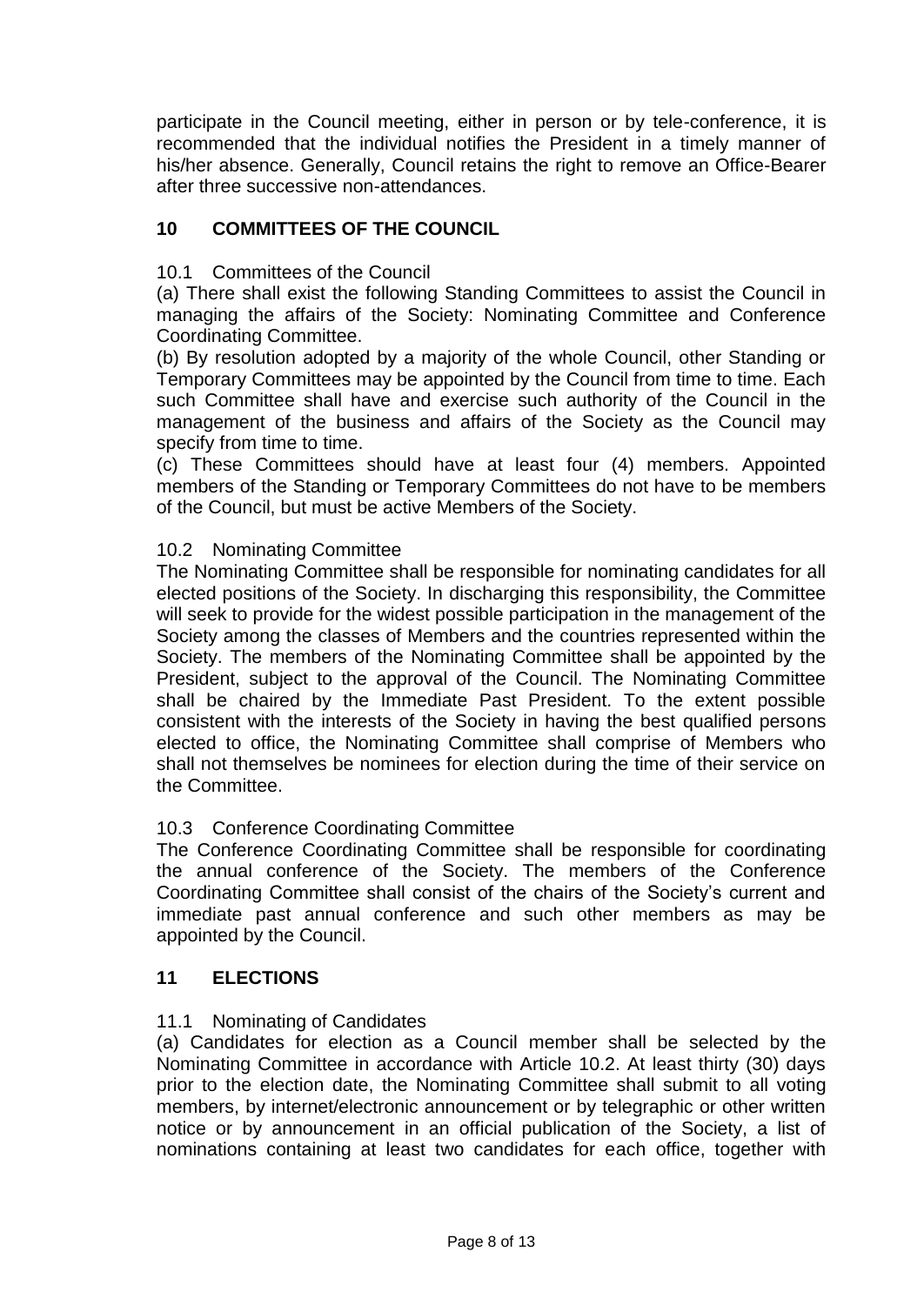participate in the Council meeting, either in person or by tele-conference, it is recommended that the individual notifies the President in a timely manner of his/her absence. Generally, Council retains the right to remove an Office-Bearer after three successive non-attendances.

# **10 COMMITTEES OF THE COUNCIL**

### 10.1 Committees of the Council

(a) There shall exist the following Standing Committees to assist the Council in managing the affairs of the Society: Nominating Committee and Conference Coordinating Committee.

(b) By resolution adopted by a majority of the whole Council, other Standing or Temporary Committees may be appointed by the Council from time to time. Each such Committee shall have and exercise such authority of the Council in the management of the business and affairs of the Society as the Council may specify from time to time.

(c) These Committees should have at least four (4) members. Appointed members of the Standing or Temporary Committees do not have to be members of the Council, but must be active Members of the Society.

### 10.2 Nominating Committee

The Nominating Committee shall be responsible for nominating candidates for all elected positions of the Society. In discharging this responsibility, the Committee will seek to provide for the widest possible participation in the management of the Society among the classes of Members and the countries represented within the Society. The members of the Nominating Committee shall be appointed by the President, subject to the approval of the Council. The Nominating Committee shall be chaired by the Immediate Past President. To the extent possible consistent with the interests of the Society in having the best qualified persons elected to office, the Nominating Committee shall comprise of Members who shall not themselves be nominees for election during the time of their service on the Committee.

### 10.3 Conference Coordinating Committee

The Conference Coordinating Committee shall be responsible for coordinating the annual conference of the Society. The members of the Conference Coordinating Committee shall consist of the chairs of the Society's current and immediate past annual conference and such other members as may be appointed by the Council.

### **11 ELECTIONS**

### 11.1 Nominating of Candidates

(a) Candidates for election as a Council member shall be selected by the Nominating Committee in accordance with Article 10.2. At least thirty (30) days prior to the election date, the Nominating Committee shall submit to all voting members, by internet/electronic announcement or by telegraphic or other written notice or by announcement in an official publication of the Society, a list of nominations containing at least two candidates for each office, together with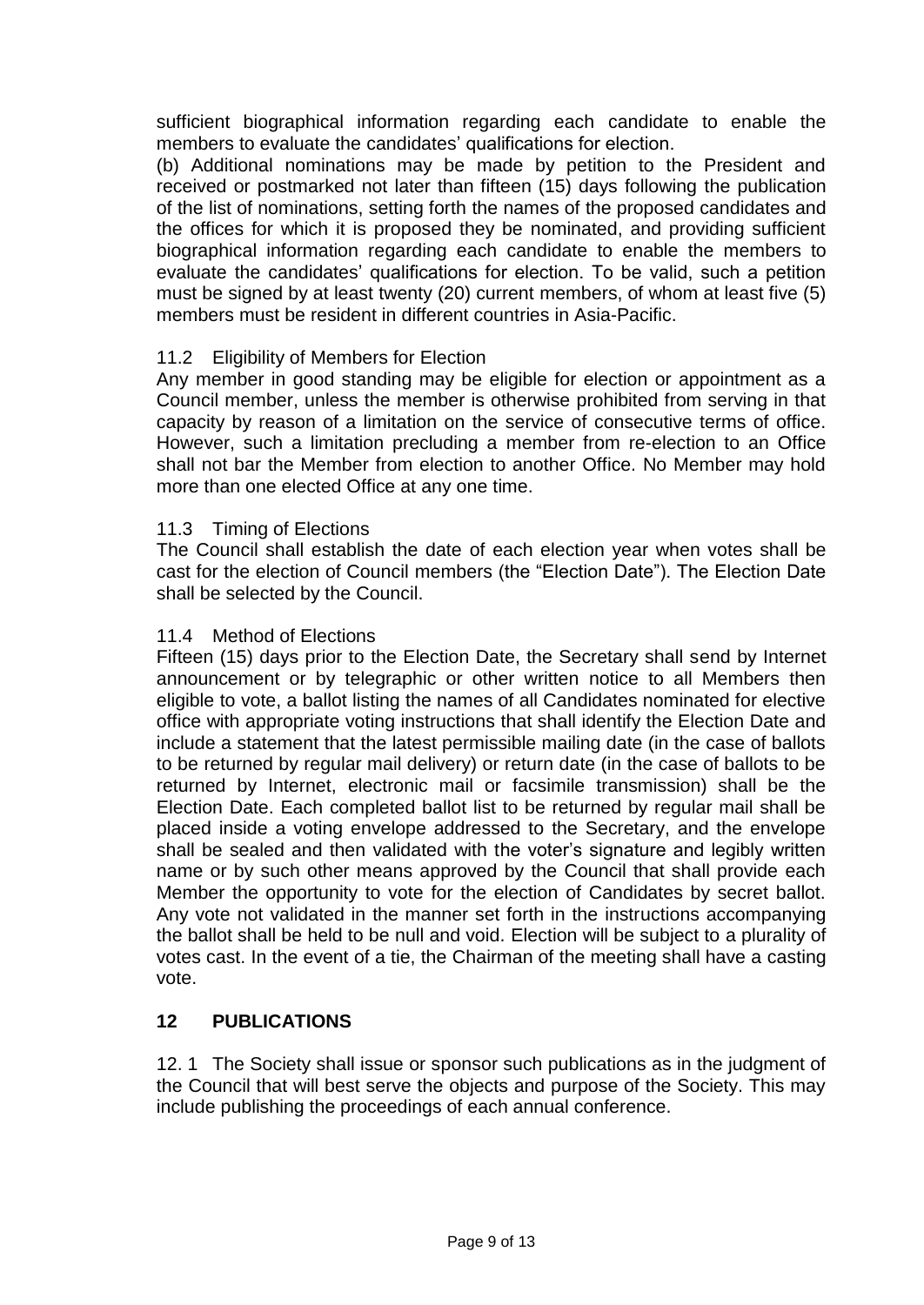sufficient biographical information regarding each candidate to enable the members to evaluate the candidates' qualifications for election.

(b) Additional nominations may be made by petition to the President and received or postmarked not later than fifteen (15) days following the publication of the list of nominations, setting forth the names of the proposed candidates and the offices for which it is proposed they be nominated, and providing sufficient biographical information regarding each candidate to enable the members to evaluate the candidates' qualifications for election. To be valid, such a petition must be signed by at least twenty (20) current members, of whom at least five (5) members must be resident in different countries in Asia-Pacific.

# 11.2 Eligibility of Members for Election

Any member in good standing may be eligible for election or appointment as a Council member, unless the member is otherwise prohibited from serving in that capacity by reason of a limitation on the service of consecutive terms of office. However, such a limitation precluding a member from re-election to an Office shall not bar the Member from election to another Office. No Member may hold more than one elected Office at any one time.

### 11.3 Timing of Elections

The Council shall establish the date of each election year when votes shall be cast for the election of Council members (the "Election Date"). The Election Date shall be selected by the Council.

#### 11.4 Method of Elections

Fifteen (15) days prior to the Election Date, the Secretary shall send by Internet announcement or by telegraphic or other written notice to all Members then eligible to vote, a ballot listing the names of all Candidates nominated for elective office with appropriate voting instructions that shall identify the Election Date and include a statement that the latest permissible mailing date (in the case of ballots to be returned by regular mail delivery) or return date (in the case of ballots to be returned by Internet, electronic mail or facsimile transmission) shall be the Election Date. Each completed ballot list to be returned by regular mail shall be placed inside a voting envelope addressed to the Secretary, and the envelope shall be sealed and then validated with the voter's signature and legibly written name or by such other means approved by the Council that shall provide each Member the opportunity to vote for the election of Candidates by secret ballot. Any vote not validated in the manner set forth in the instructions accompanying the ballot shall be held to be null and void. Election will be subject to a plurality of votes cast. In the event of a tie, the Chairman of the meeting shall have a casting vote.

### **12 PUBLICATIONS**

12. 1 The Society shall issue or sponsor such publications as in the judgment of the Council that will best serve the objects and purpose of the Society. This may include publishing the proceedings of each annual conference.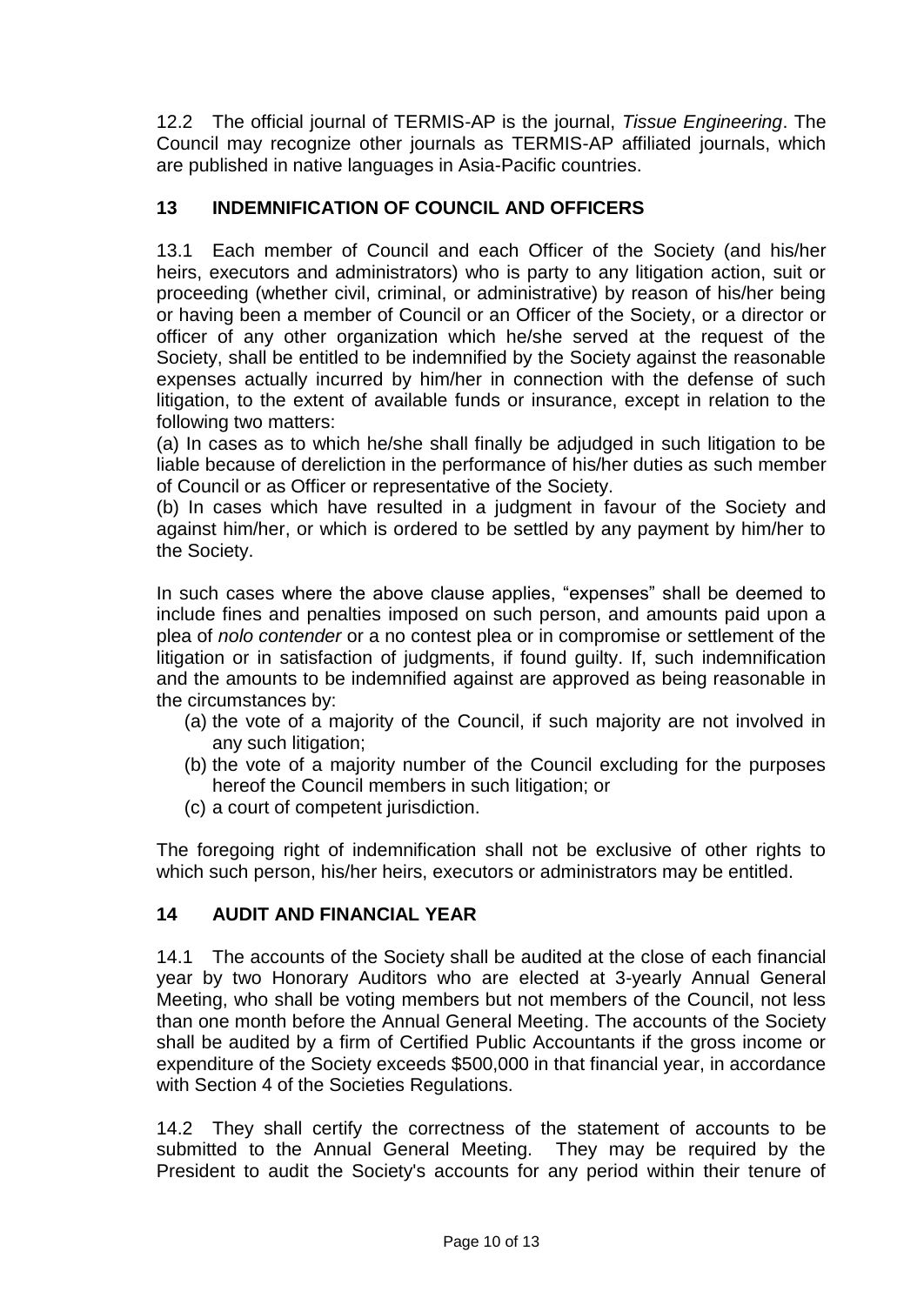12.2 The official journal of TERMIS-AP is the journal, *Tissue Engineering*. The Council may recognize other journals as TERMIS-AP affiliated journals, which are published in native languages in Asia-Pacific countries.

# **13 INDEMNIFICATION OF COUNCIL AND OFFICERS**

13.1 Each member of Council and each Officer of the Society (and his/her heirs, executors and administrators) who is party to any litigation action, suit or proceeding (whether civil, criminal, or administrative) by reason of his/her being or having been a member of Council or an Officer of the Society, or a director or officer of any other organization which he/she served at the request of the Society, shall be entitled to be indemnified by the Society against the reasonable expenses actually incurred by him/her in connection with the defense of such litigation, to the extent of available funds or insurance, except in relation to the following two matters:

(a) In cases as to which he/she shall finally be adjudged in such litigation to be liable because of dereliction in the performance of his/her duties as such member of Council or as Officer or representative of the Society.

(b) In cases which have resulted in a judgment in favour of the Society and against him/her, or which is ordered to be settled by any payment by him/her to the Society.

In such cases where the above clause applies, "expenses" shall be deemed to include fines and penalties imposed on such person, and amounts paid upon a plea of *nolo contender* or a no contest plea or in compromise or settlement of the litigation or in satisfaction of judgments, if found guilty. If, such indemnification and the amounts to be indemnified against are approved as being reasonable in the circumstances by:

- (a) the vote of a majority of the Council, if such majority are not involved in any such litigation;
- (b) the vote of a majority number of the Council excluding for the purposes hereof the Council members in such litigation; or
- (c) a court of competent jurisdiction.

The foregoing right of indemnification shall not be exclusive of other rights to which such person, his/her heirs, executors or administrators may be entitled.

# **14 AUDIT AND FINANCIAL YEAR**

14.1 The accounts of the Society shall be audited at the close of each financial year by two Honorary Auditors who are elected at 3-yearly Annual General Meeting, who shall be voting members but not members of the Council, not less than one month before the Annual General Meeting. The accounts of the Society shall be audited by a firm of Certified Public Accountants if the gross income or expenditure of the Society exceeds \$500,000 in that financial year, in accordance with Section 4 of the Societies Regulations.

14.2 They shall certify the correctness of the statement of accounts to be submitted to the Annual General Meeting. They may be required by the President to audit the Society's accounts for any period within their tenure of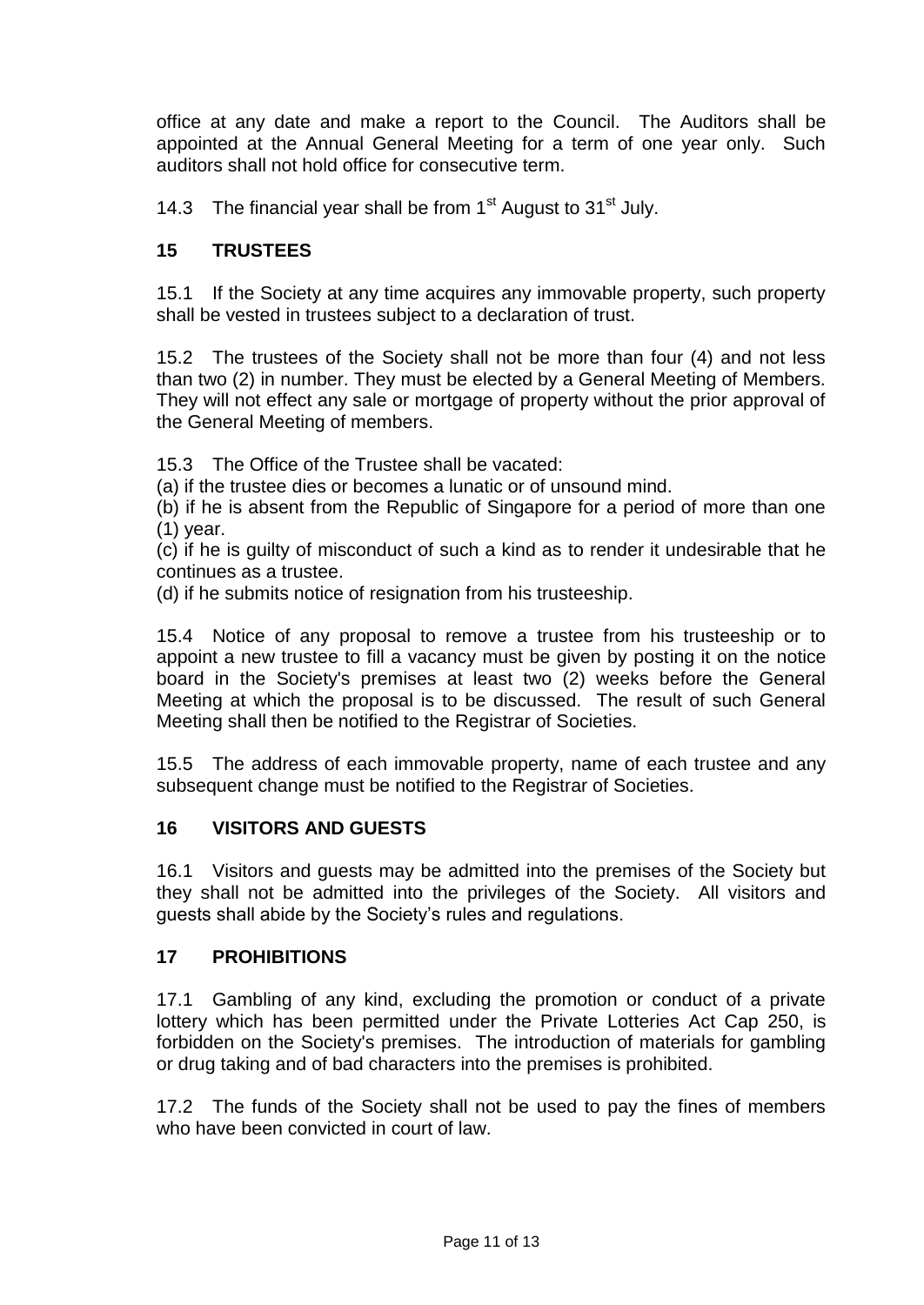office at any date and make a report to the Council. The Auditors shall be appointed at the Annual General Meeting for a term of one year only. Such auditors shall not hold office for consecutive term.

14.3 The financial year shall be from  $1<sup>st</sup>$  August to  $31<sup>st</sup>$  July.

# **15 TRUSTEES**

15.1 If the Society at any time acquires any immovable property, such property shall be vested in trustees subject to a declaration of trust.

15.2 The trustees of the Society shall not be more than four (4) and not less than two (2) in number. They must be elected by a General Meeting of Members. They will not effect any sale or mortgage of property without the prior approval of the General Meeting of members.

15.3 The Office of the Trustee shall be vacated:

(a) if the trustee dies or becomes a lunatic or of unsound mind.

(b) if he is absent from the Republic of Singapore for a period of more than one (1) year.

(c) if he is guilty of misconduct of such a kind as to render it undesirable that he continues as a trustee.

(d) if he submits notice of resignation from his trusteeship.

15.4 Notice of any proposal to remove a trustee from his trusteeship or to appoint a new trustee to fill a vacancy must be given by posting it on the notice board in the Society's premises at least two (2) weeks before the General Meeting at which the proposal is to be discussed. The result of such General Meeting shall then be notified to the Registrar of Societies.

15.5 The address of each immovable property, name of each trustee and any subsequent change must be notified to the Registrar of Societies.

# **16 VISITORS AND GUESTS**

16.1 Visitors and guests may be admitted into the premises of the Society but they shall not be admitted into the privileges of the Society. All visitors and guests shall abide by the Society's rules and regulations.

# **17 PROHIBITIONS**

17.1 Gambling of any kind, excluding the promotion or conduct of a private lottery which has been permitted under the Private Lotteries Act Cap 250, is forbidden on the Society's premises. The introduction of materials for gambling or drug taking and of bad characters into the premises is prohibited.

17.2 The funds of the Society shall not be used to pay the fines of members who have been convicted in court of law.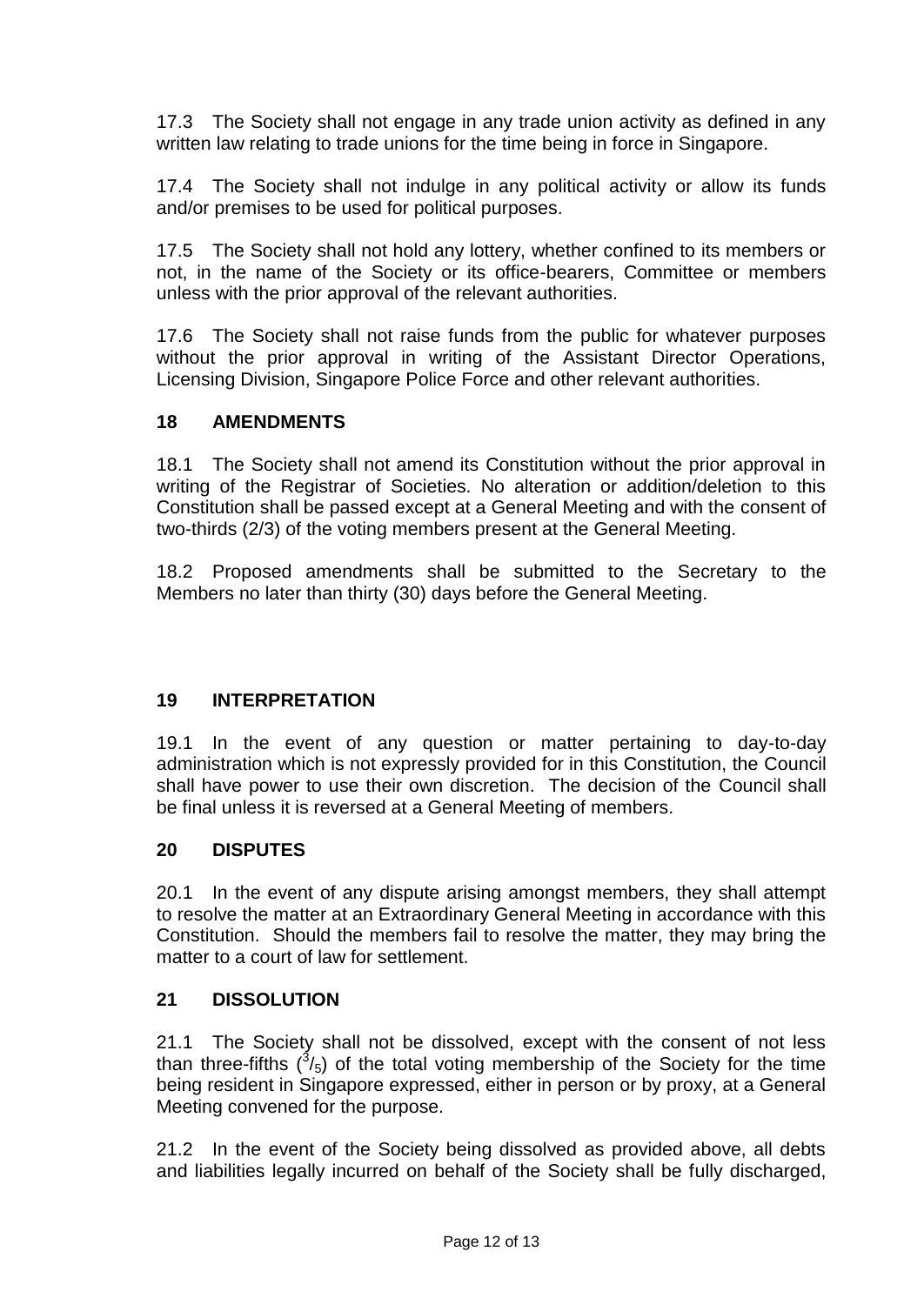17.3 The Society shall not engage in any trade union activity as defined in any written law relating to trade unions for the time being in force in Singapore.

17.4 The Society shall not indulge in any political activity or allow its funds and/or premises to be used for political purposes.

17.5 The Society shall not hold any lottery, whether confined to its members or not, in the name of the Society or its office-bearers, Committee or members unless with the prior approval of the relevant authorities.

17.6 The Society shall not raise funds from the public for whatever purposes without the prior approval in writing of the Assistant Director Operations, Licensing Division, Singapore Police Force and other relevant authorities.

# **18 AMENDMENTS**

18.1 The Society shall not amend its Constitution without the prior approval in writing of the Registrar of Societies. No alteration or addition/deletion to this Constitution shall be passed except at a General Meeting and with the consent of two-thirds (2/3) of the voting members present at the General Meeting.

18.2 Proposed amendments shall be submitted to the Secretary to the Members no later than thirty (30) days before the General Meeting.

# **19 INTERPRETATION**

19.1 In the event of any question or matter pertaining to day-to-day administration which is not expressly provided for in this Constitution, the Council shall have power to use their own discretion. The decision of the Council shall be final unless it is reversed at a General Meeting of members.

### **20 DISPUTES**

20.1 In the event of any dispute arising amongst members, they shall attempt to resolve the matter at an Extraordinary General Meeting in accordance with this Constitution. Should the members fail to resolve the matter, they may bring the matter to a court of law for settlement.

### **21 DISSOLUTION**

21.1 The Society shall not be dissolved, except with the consent of not less than three-fifths  $(^3/5)$  of the total voting membership of the Society for the time being resident in Singapore expressed, either in person or by proxy, at a General Meeting convened for the purpose.

21.2 In the event of the Society being dissolved as provided above, all debts and liabilities legally incurred on behalf of the Society shall be fully discharged,